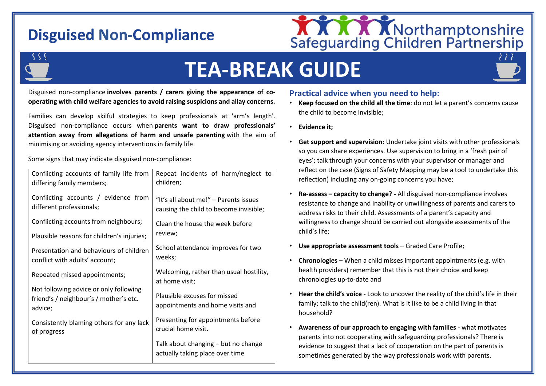## **Disguised Non-Compliance**



# **TEA-BREAK GUIDE**

Disguised non-compliance **involves parents / carers giving the appearance of cooperating with child welfare agencies to avoid raising suspicions and allay concerns.**

Families can develop skilful strategies to keep professionals at 'arm's length'. Disguised non-compliance occurs when **parents want to draw professionals' attention away from allegations of harm and unsafe parenting** with the aim of minimising or avoiding agency interventions in family life.

Some signs that may indicate disguised non-compliance:

| Conflicting accounts of family life from<br>differing family members;                       | Repeat incidents of harm/neglect to<br>children;                                |
|---------------------------------------------------------------------------------------------|---------------------------------------------------------------------------------|
| Conflicting accounts / evidence from<br>different professionals;                            | "It's all about me!" - Parents issues<br>causing the child to become invisible; |
| Conflicting accounts from neighbours;                                                       | Clean the house the week before                                                 |
| Plausible reasons for children's injuries;                                                  | review;                                                                         |
| Presentation and behaviours of children<br>conflict with adults' account;                   | School attendance improves for two<br>weeks;                                    |
| Repeated missed appointments;                                                               | Welcoming, rather than usual hostility,<br>at home visit;                       |
| Not following advice or only following<br>friend's / neighbour's / mother's etc.<br>advice; | Plausible excuses for missed<br>appointments and home visits and                |
| Consistently blaming others for any lack<br>of progress                                     | Presenting for appointments before<br>crucial home visit.                       |
|                                                                                             | Talk about changing - but no change<br>actually taking place over time          |

### **Practical advice when you need to help:**

- **Keep focused on the child all the time**: do not let a parent's concerns cause the child to become invisible;
- **Evidence it;**
- **Get support and supervision:** Undertake joint visits with other professionals so you can share experiences. Use supervision to bring in a 'fresh pair of eyes'; talk through your concerns with your supervisor or manager and reflect on the case (Signs of Safety Mapping may be a tool to undertake this reflection) including any on-going concerns you have;
- **Re-assess – capacity to change? -** All disguised non-compliance involves resistance to change and inability or unwillingness of parents and carers to address risks to their child. Assessments of a parent's capacity and willingness to change should be carried out alongside assessments of the child's life;
- **Use appropriate assessment tools**  Graded Care Profile;
- **Chronologies** When a child misses important appointments (e.g. with health providers) remember that this is not their choice and keep chronologies up-to-date and
- **Hear the child's voice**  Look to uncover the reality of the child's life in their family; talk to the child(ren). What is it like to be a child living in that household?
- **Awareness of our approach to engaging with families**  what motivates parents into not cooperating with safeguarding professionals? There is evidence to suggest that a lack of cooperation on the part of parents is sometimes generated by the way professionals work with parents.